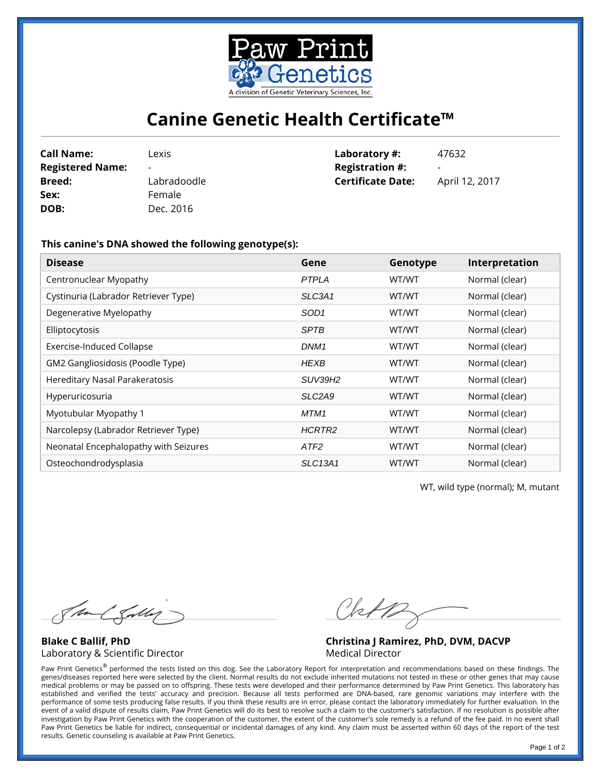

## **Canine Genetic Health Certificate™**

| <b>Call Name:</b>       | Lexis                    | Laboratory #:            | 47632                    |
|-------------------------|--------------------------|--------------------------|--------------------------|
| <b>Registered Name:</b> | $\overline{\phantom{0}}$ | <b>Registration #:</b>   | $\overline{\phantom{a}}$ |
| <b>Breed:</b>           | Labradoodle              | <b>Certificate Date:</b> | April 12, 2017           |
| Sex:                    | Female                   |                          |                          |
| DOB:                    | Dec. 2016                |                          |                          |

## **This canine's DNA showed the following genotype(s):**

| <b>Disease</b>                        | Gene                            | Genotype | Interpretation |
|---------------------------------------|---------------------------------|----------|----------------|
| Centronuclear Myopathy                | <b>PTPLA</b>                    | WT/WT    | Normal (clear) |
| Cystinuria (Labrador Retriever Type)  | SLC3A1                          | WT/WT    | Normal (clear) |
| Degenerative Myelopathy               | SOD <sub>1</sub>                | WT/WT    | Normal (clear) |
| Elliptocytosis                        | <b>SPTB</b>                     | WT/WT    | Normal (clear) |
| <b>Exercise-Induced Collapse</b>      | DNM <sub>1</sub>                | WT/WT    | Normal (clear) |
| GM2 Gangliosidosis (Poodle Type)      | <b>HEXB</b>                     | WT/WT    | Normal (clear) |
| Hereditary Nasal Parakeratosis        | <b>SUV39H2</b>                  | WT/WT    | Normal (clear) |
| Hyperuricosuria                       | SLC <sub>2</sub> A <sub>9</sub> | WT/WT    | Normal (clear) |
| Myotubular Myopathy 1                 | MTM1                            | WT/WT    | Normal (clear) |
| Narcolepsy (Labrador Retriever Type)  | HCRTR2                          | WT/WT    | Normal (clear) |
| Neonatal Encephalopathy with Seizures | ATF <sub>2</sub>                | WT/WT    | Normal (clear) |
| Osteochondrodysplasia                 | <b>SLC13A1</b>                  | WT/WT    | Normal (clear) |

WT, wild type (normal); M, mutant

Stand Salley

**Blake C Ballif, PhD** Laboratory & Scientific Director

Chip

**Christina J Ramirez, PhD, DVM, DACVP** Medical Director

Paw Print Genetics® performed the tests listed on this dog. See the Laboratory Report for interpretation and recommendations based on these findings. The genes/diseases reported here were selected by the client. Normal results do not exclude inherited mutations not tested in these or other genes that may cause medical problems or may be passed on to offspring. These tests were developed and their performance determined by Paw Print Genetics. This laboratory has established and verified the tests' accuracy and precision. Because all tests performed are DNA-based, rare genomic variations may interfere with the performance of some tests producing false results. If you think these results are in error, please contact the laboratory immediately for further evaluation. In the event of a valid dispute of results claim, Paw Print Genetics will do its best to resolve such a claim to the customer's satisfaction. If no resolution is possible after investigation by Paw Print Genetics with the cooperation of the customer, the extent of the customer's sole remedy is a refund of the fee paid. In no event shall Paw Print Genetics be liable for indirect, consequential or incidental damages of any kind. Any claim must be asserted within 60 days of the report of the test results. Genetic counseling is available at Paw Print Genetics.